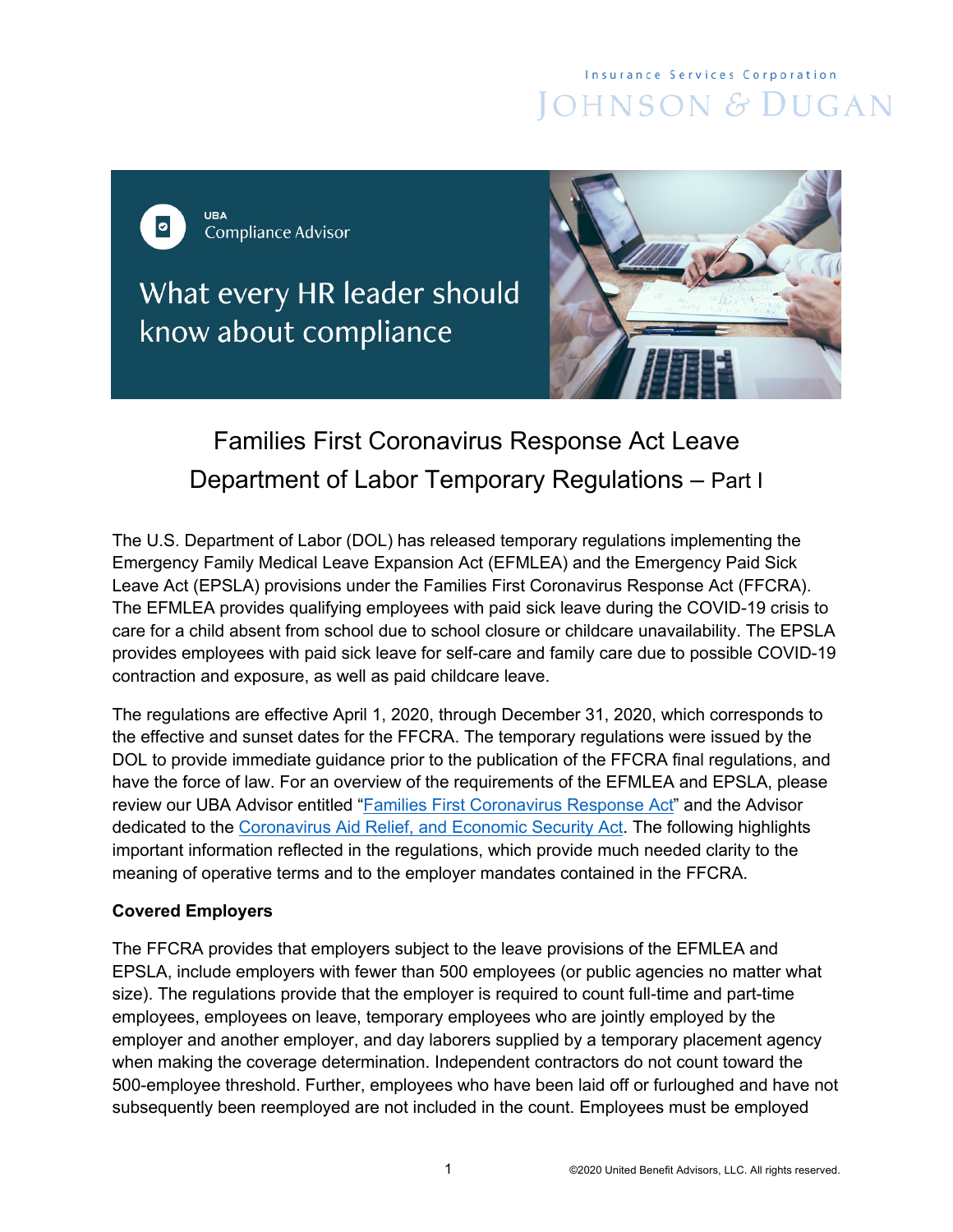# **Insurance Services Corporation** JOHNSON & DUGAN

**UBA**  $\bullet$ **Compliance Advisor** 

What every HR leader should know about compliance



# Families First Coronavirus Response Act Leave Department of Labor Temporary Regulations – Part I

The U.S. Department of Labor (DOL) has released temporary regulations implementing the Emergency Family Medical Leave Expansion Act (EFMLEA) and the Emergency Paid Sick Leave Act (EPSLA) provisions under the Families First Coronavirus Response Act (FFCRA). The EFMLEA provides qualifying employees with paid sick leave during the COVID-19 crisis to care for a child absent from school due to school closure or childcare unavailability. The EPSLA provides employees with paid sick leave for self-care and family care due to possible COVID-19 contraction and exposure, as well as paid childcare leave.

The regulations are effective April 1, 2020, through December 31, 2020, which corresponds to the effective and sunset dates for the FFCRA. The temporary regulations were issued by the DOL to provide immediate guidance prior to the publication of the FFCRA final regulations, and have the force of law. For an overview of the requirements of the EFMLEA and EPSLA, please review our UBA Advisor entitled ["Families First Coronavirus Response Act"](https://cdn2.hubspot.net/hubfs/182985/Compliance/ComplianceRecap_Mar2020_FamiliesFirstCoronavirusResponseAct.pdf) and the Advisor dedicated to the [Coronavirus Aid Relief, and Economic Security](https://cdn2.hubspot.net/hubfs/182985/Compliance/ComplianceRecap_Mar2020_CARESAct.pdf) Act. The following highlights important information reflected in the regulations, which provide much needed clarity to the meaning of operative terms and to the employer mandates contained in the FFCRA.

## **Covered Employers**

The FFCRA provides that employers subject to the leave provisions of the EFMLEA and EPSLA, include employers with fewer than 500 employees (or public agencies no matter what size). The regulations provide that the employer is required to count full-time and part-time employees, employees on leave, temporary employees who are jointly employed by the employer and another employer, and day laborers supplied by a temporary placement agency when making the coverage determination. Independent contractors do not count toward the 500-employee threshold. Further, employees who have been laid off or furloughed and have not subsequently been reemployed are not included in the count. Employees must be employed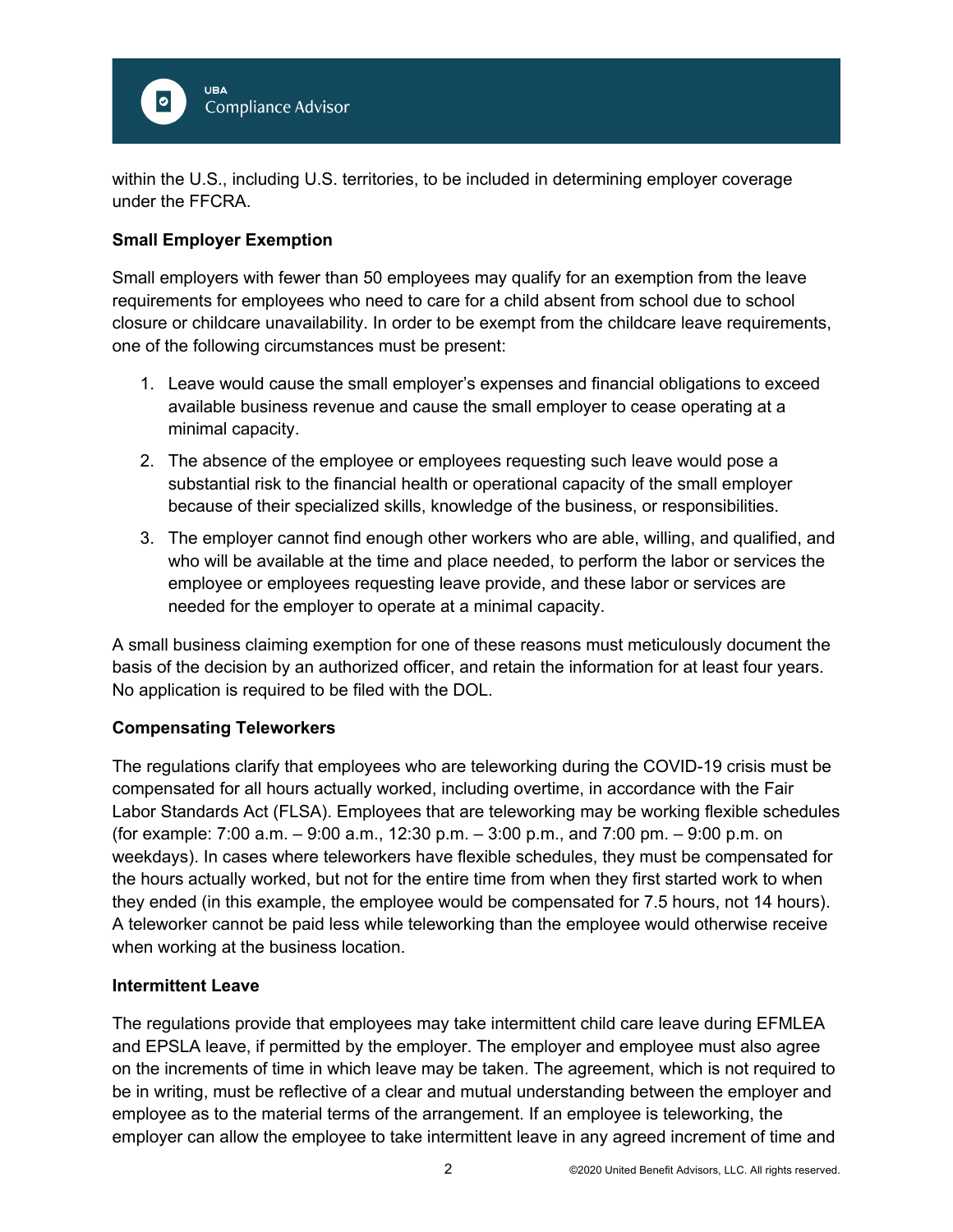

within the U.S., including U.S. territories, to be included in determining employer coverage under the FFCRA.

### **Small Employer Exemption**

Small employers with fewer than 50 employees may qualify for an exemption from the leave requirements for employees who need to care for a child absent from school due to school closure or childcare unavailability. In order to be exempt from the childcare leave requirements, one of the following circumstances must be present:

- 1. Leave would cause the small employer's expenses and financial obligations to exceed available business revenue and cause the small employer to cease operating at a minimal capacity.
- 2. The absence of the employee or employees requesting such leave would pose a substantial risk to the financial health or operational capacity of the small employer because of their specialized skills, knowledge of the business, or responsibilities.
- 3. The employer cannot find enough other workers who are able, willing, and qualified, and who will be available at the time and place needed, to perform the labor or services the employee or employees requesting leave provide, and these labor or services are needed for the employer to operate at a minimal capacity.

A small business claiming exemption for one of these reasons must meticulously document the basis of the decision by an authorized officer, and retain the information for at least four years. No application is required to be filed with the DOL.

#### **Compensating Teleworkers**

The regulations clarify that employees who are teleworking during the COVID-19 crisis must be compensated for all hours actually worked, including overtime, in accordance with the Fair Labor Standards Act (FLSA). Employees that are teleworking may be working flexible schedules (for example: 7:00 a.m. – 9:00 a.m., 12:30 p.m. – 3:00 p.m., and 7:00 pm. – 9:00 p.m. on weekdays). In cases where teleworkers have flexible schedules, they must be compensated for the hours actually worked, but not for the entire time from when they first started work to when they ended (in this example, the employee would be compensated for 7.5 hours, not 14 hours). A teleworker cannot be paid less while teleworking than the employee would otherwise receive when working at the business location.

#### **Intermittent Leave**

The regulations provide that employees may take intermittent child care leave during EFMLEA and EPSLA leave, if permitted by the employer. The employer and employee must also agree on the increments of time in which leave may be taken. The agreement, which is not required to be in writing, must be reflective of a clear and mutual understanding between the employer and employee as to the material terms of the arrangement. If an employee is teleworking, the employer can allow the employee to take intermittent leave in any agreed increment of time and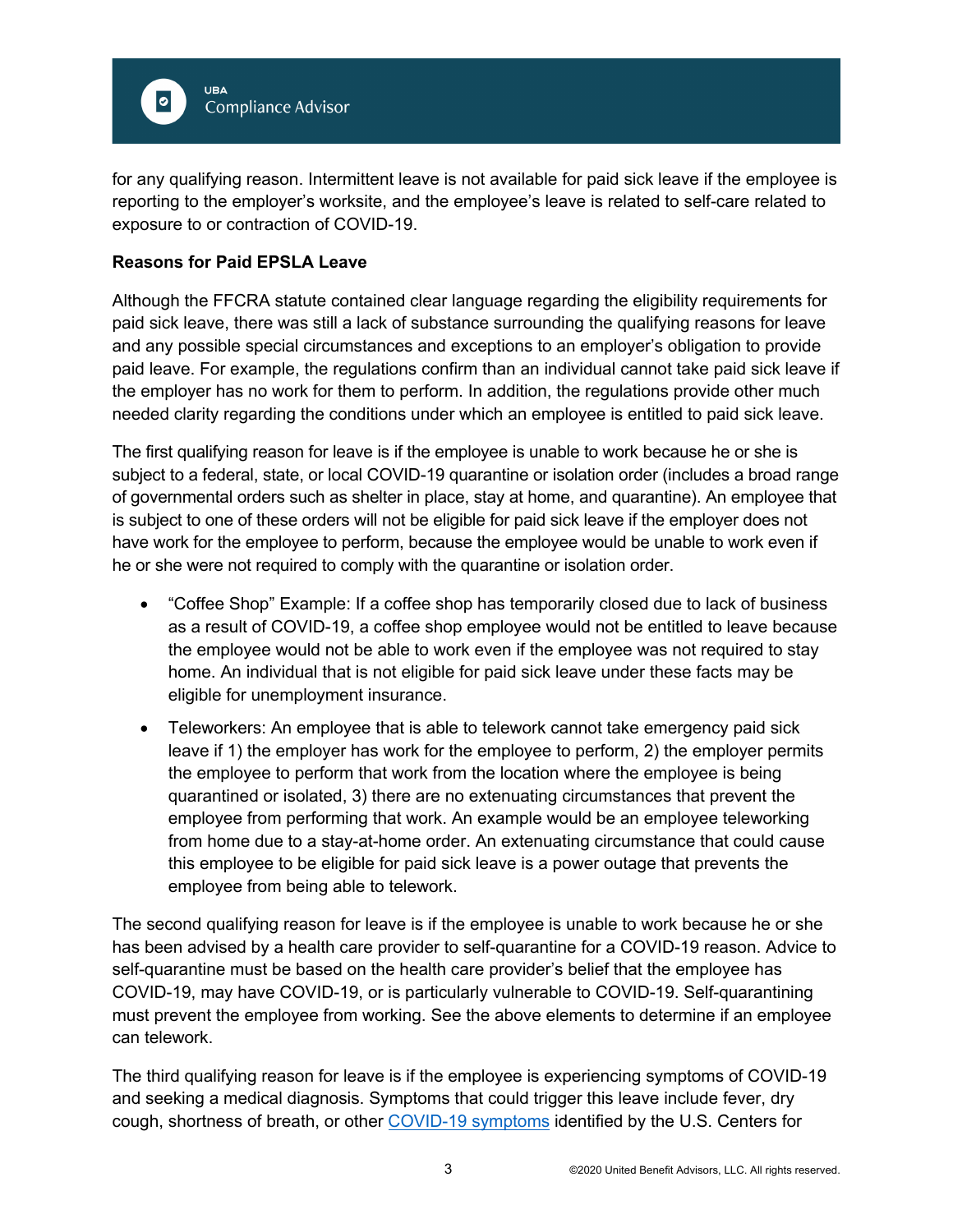

for any qualifying reason. Intermittent leave is not available for paid sick leave if the employee is reporting to the employer's worksite, and the employee's leave is related to self-care related to exposure to or contraction of COVID-19.

#### **Reasons for Paid EPSLA Leave**

Although the FFCRA statute contained clear language regarding the eligibility requirements for paid sick leave, there was still a lack of substance surrounding the qualifying reasons for leave and any possible special circumstances and exceptions to an employer's obligation to provide paid leave. For example, the regulations confirm than an individual cannot take paid sick leave if the employer has no work for them to perform. In addition, the regulations provide other much needed clarity regarding the conditions under which an employee is entitled to paid sick leave.

The first qualifying reason for leave is if the employee is unable to work because he or she is subject to a federal, state, or local COVID-19 quarantine or isolation order (includes a broad range of governmental orders such as shelter in place, stay at home, and quarantine). An employee that is subject to one of these orders will not be eligible for paid sick leave if the employer does not have work for the employee to perform, because the employee would be unable to work even if he or she were not required to comply with the quarantine or isolation order.

- "Coffee Shop" Example: If a coffee shop has temporarily closed due to lack of business as a result of COVID-19, a coffee shop employee would not be entitled to leave because the employee would not be able to work even if the employee was not required to stay home. An individual that is not eligible for paid sick leave under these facts may be eligible for unemployment insurance.
- Teleworkers: An employee that is able to telework cannot take emergency paid sick leave if 1) the employer has work for the employee to perform, 2) the employer permits the employee to perform that work from the location where the employee is being quarantined or isolated, 3) there are no extenuating circumstances that prevent the employee from performing that work. An example would be an employee teleworking from home due to a stay-at-home order. An extenuating circumstance that could cause this employee to be eligible for paid sick leave is a power outage that prevents the employee from being able to telework.

The second qualifying reason for leave is if the employee is unable to work because he or she has been advised by a health care provider to self-quarantine for a COVID-19 reason. Advice to self-quarantine must be based on the health care provider's belief that the employee has COVID-19, may have COVID-19, or is particularly vulnerable to COVID-19. Self-quarantining must prevent the employee from working. See the above elements to determine if an employee can telework.

The third qualifying reason for leave is if the employee is experiencing symptoms of COVID-19 and seeking a medical diagnosis. Symptoms that could trigger this leave include fever, dry cough, shortness of breath, or other [COVID-19 symptoms](https://www.cdc.gov/coronavirus/2019-ncov/symptoms-testing/symptoms.html) identified by the U.S. Centers for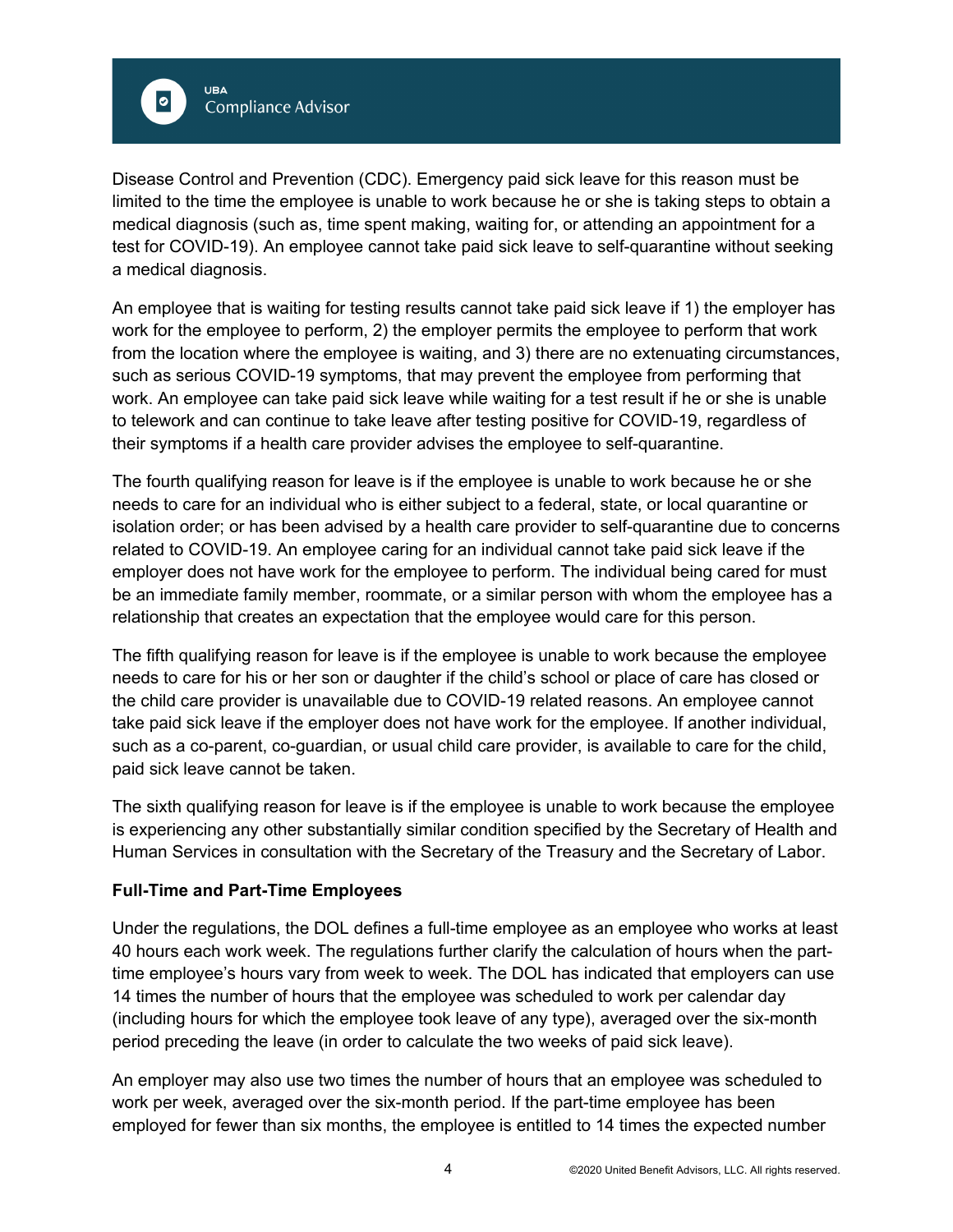

Disease Control and Prevention (CDC). Emergency paid sick leave for this reason must be limited to the time the employee is unable to work because he or she is taking steps to obtain a medical diagnosis (such as, time spent making, waiting for, or attending an appointment for a test for COVID-19). An employee cannot take paid sick leave to self-quarantine without seeking a medical diagnosis.

An employee that is waiting for testing results cannot take paid sick leave if 1) the employer has work for the employee to perform, 2) the employer permits the employee to perform that work from the location where the employee is waiting, and 3) there are no extenuating circumstances, such as serious COVID-19 symptoms, that may prevent the employee from performing that work. An employee can take paid sick leave while waiting for a test result if he or she is unable to telework and can continue to take leave after testing positive for COVID-19, regardless of their symptoms if a health care provider advises the employee to self-quarantine.

The fourth qualifying reason for leave is if the employee is unable to work because he or she needs to care for an individual who is either subject to a federal, state, or local quarantine or isolation order; or has been advised by a health care provider to self-quarantine due to concerns related to COVID-19. An employee caring for an individual cannot take paid sick leave if the employer does not have work for the employee to perform. The individual being cared for must be an immediate family member, roommate, or a similar person with whom the employee has a relationship that creates an expectation that the employee would care for this person.

The fifth qualifying reason for leave is if the employee is unable to work because the employee needs to care for his or her son or daughter if the child's school or place of care has closed or the child care provider is unavailable due to COVID-19 related reasons. An employee cannot take paid sick leave if the employer does not have work for the employee. If another individual, such as a co-parent, co-guardian, or usual child care provider, is available to care for the child, paid sick leave cannot be taken.

The sixth qualifying reason for leave is if the employee is unable to work because the employee is experiencing any other substantially similar condition specified by the Secretary of Health and Human Services in consultation with the Secretary of the Treasury and the Secretary of Labor.

#### **Full-Time and Part-Time Employees**

Under the regulations, the DOL defines a full-time employee as an employee who works at least 40 hours each work week. The regulations further clarify the calculation of hours when the parttime employee's hours vary from week to week. The DOL has indicated that employers can use 14 times the number of hours that the employee was scheduled to work per calendar day (including hours for which the employee took leave of any type), averaged over the six-month period preceding the leave (in order to calculate the two weeks of paid sick leave).

An employer may also use two times the number of hours that an employee was scheduled to work per week, averaged over the six-month period. If the part-time employee has been employed for fewer than six months, the employee is entitled to 14 times the expected number